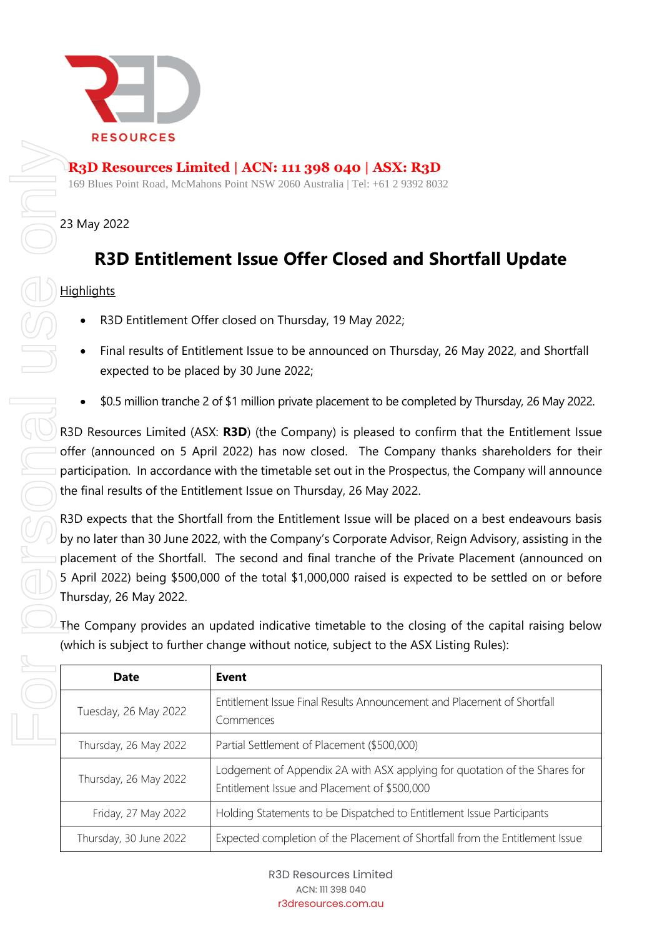

## **R3D Resources Limited | ACN: 111 398 040 | ASX: R3D**

169 Blues Point Road, McMahons Point NSW 2060 Australia | Tel: +61 2 9392 8032

### 23 May 2022

# **R3D Entitlement Issue Offer Closed and Shortfall Update**

## **Highlights**

- R3D Entitlement Offer closed on Thursday, 19 May 2022;
- Final results of Entitlement Issue to be announced on Thursday, 26 May 2022, and Shortfall expected to be placed by 30 June 2022;
- \$0.5 million tranche 2 of \$1 million private placement to be completed by Thursday, 26 May 2022.

R3D Resources Limited (ASX: **R3D**) (the Company) is pleased to confirm that the Entitlement Issue offer (announced on 5 April 2022) has now closed. The Company thanks shareholders for their participation. In accordance with the timetable set out in the Prospectus, the Company will announce the final results of the Entitlement Issue on Thursday, 26 May 2022.

R3D expects that the Shortfall from the Entitlement Issue will be placed on a best endeavours basis by no later than 30 June 2022, with the Company's Corporate Advisor, Reign Advisory, assisting in the placement of the Shortfall. The second and final tranche of the Private Placement (announced on 5 April 2022) being \$500,000 of the total \$1,000,000 raised is expected to be settled on or before Thursday, 26 May 2022.

The Company provides an updated indicative timetable to the closing of the capital raising below (which is subject to further change without notice, subject to the ASX Listing Rules):

| <b>Date</b>            | Event                                                                                                                      |
|------------------------|----------------------------------------------------------------------------------------------------------------------------|
| Tuesday, 26 May 2022   | Entitlement Issue Final Results Announcement and Placement of Shortfall<br>Commences                                       |
| Thursday, 26 May 2022  | Partial Settlement of Placement (\$500,000)                                                                                |
| Thursday, 26 May 2022  | Lodgement of Appendix 2A with ASX applying for quotation of the Shares for<br>Entitlement Issue and Placement of \$500,000 |
| Friday, 27 May 2022    | Holding Statements to be Dispatched to Entitlement Issue Participants                                                      |
| Thursday, 30 June 2022 | Expected completion of the Placement of Shortfall from the Entitlement Issue                                               |

R3D Resources Limited ACN: 111 398 040 r3dresources.com.au